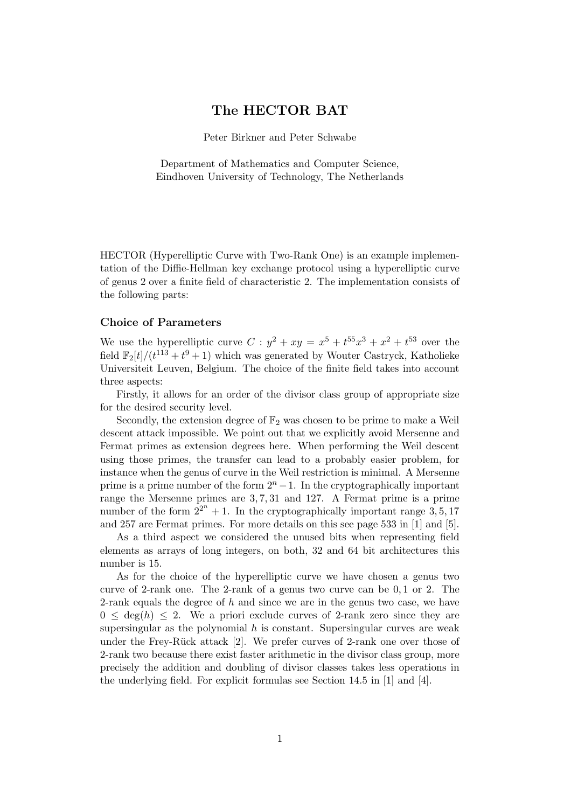# The HECTOR BAT

Peter Birkner and Peter Schwabe

Department of Mathematics and Computer Science, Eindhoven University of Technology, The Netherlands

HECTOR (Hyperelliptic Curve with Two-Rank One) is an example implementation of the Diffie-Hellman key exchange protocol using a hyperelliptic curve of genus 2 over a finite field of characteristic 2. The implementation consists of the following parts:

### Choice of Parameters

We use the hyperelliptic curve  $C: y^2 + xy = x^5 + t^{55}x^3 + x^2 + t^{53}$  over the field  $\mathbb{F}_2[t]/(t^{113} + t^9 + 1)$  which was generated by Wouter Castryck, Katholieke Universiteit Leuven, Belgium. The choice of the finite field takes into account three aspects:

Firstly, it allows for an order of the divisor class group of appropriate size for the desired security level.

Secondly, the extension degree of  $\mathbb{F}_2$  was chosen to be prime to make a Weil descent attack impossible. We point out that we explicitly avoid Mersenne and Fermat primes as extension degrees here. When performing the Weil descent using those primes, the transfer can lead to a probably easier problem, for instance when the genus of curve in the Weil restriction is minimal. A Mersenne prime is a prime number of the form  $2<sup>n</sup> - 1$ . In the cryptographically important range the Mersenne primes are 3, 7, 31 and 127. A Fermat prime is a prime number of the form  $2^{2^n} + 1$ . In the cryptographically important range 3, 5, 17 and 257 are Fermat primes. For more details on this see page 533 in [1] and [5].

As a third aspect we considered the unused bits when representing field elements as arrays of long integers, on both, 32 and 64 bit architectures this number is 15.

As for the choice of the hyperelliptic curve we have chosen a genus two curve of 2-rank one. The 2-rank of a genus two curve can be 0, 1 or 2. The 2-rank equals the degree of  $h$  and since we are in the genus two case, we have  $0 \leq \deg(h) \leq 2$ . We a priori exclude curves of 2-rank zero since they are supersingular as the polynomial  $h$  is constant. Supersingular curves are weak under the Frey-Rück attack  $[2]$ . We prefer curves of 2-rank one over those of 2-rank two because there exist faster arithmetic in the divisor class group, more precisely the addition and doubling of divisor classes takes less operations in the underlying field. For explicit formulas see Section 14.5 in [1] and [4].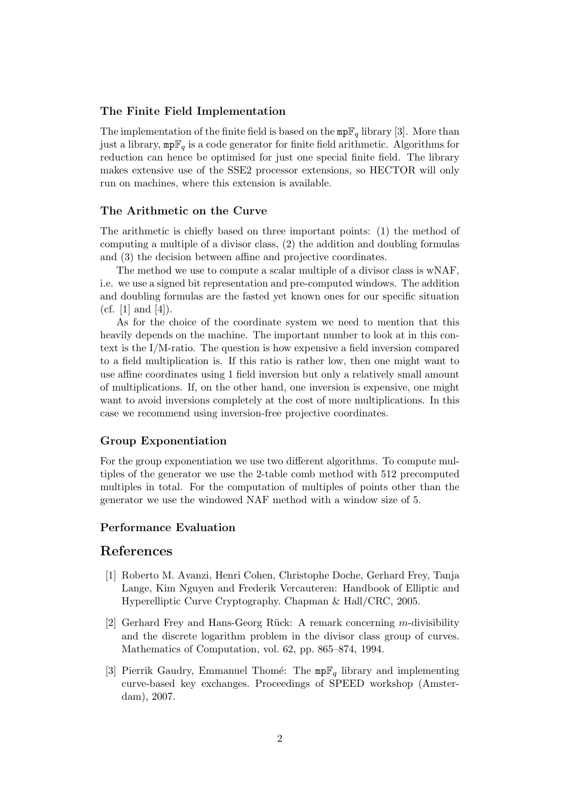### The Finite Field Implementation

The implementation of the finite field is based on the  $mp\mathbb{F}_q$  library [3]. More than just a library,  $mp\mathbb{F}_q$  is a code generator for finite field arithmetic. Algorithms for reduction can hence be optimised for just one special finite field. The library makes extensive use of the SSE2 processor extensions, so HECTOR will only run on machines, where this extension is available.

## The Arithmetic on the Curve

The arithmetic is chiefly based on three important points: (1) the method of computing a multiple of a divisor class, (2) the addition and doubling formulas and (3) the decision between affine and projective coordinates.

The method we use to compute a scalar multiple of a divisor class is wNAF, i.e. we use a signed bit representation and pre-computed windows. The addition and doubling formulas are the fasted yet known ones for our specific situation (cf.  $[1]$  and  $[4]$ ).

As for the choice of the coordinate system we need to mention that this heavily depends on the machine. The important number to look at in this context is the I/M-ratio. The question is how expensive a field inversion compared to a field multiplication is. If this ratio is rather low, then one might want to use affine coordinates using 1 field inversion but only a relatively small amount of multiplications. If, on the other hand, one inversion is expensive, one might want to avoid inversions completely at the cost of more multiplications. In this case we recommend using inversion-free projective coordinates.

## Group Exponentiation

For the group exponentiation we use two different algorithms. To compute multiples of the generator we use the 2-table comb method with 512 precomputed multiples in total. For the computation of multiples of points other than the generator we use the windowed NAF method with a window size of 5.

## Performance Evaluation

# References

- [1] Roberto M. Avanzi, Henri Cohen, Christophe Doche, Gerhard Frey, Tanja Lange, Kim Nguyen and Frederik Vercauteren: Handbook of Elliptic and Hyperelliptic Curve Cryptography. Chapman & Hall/CRC, 2005.
- [2] Gerhard Frey and Hans-Georg Rück: A remark concerning m-divisibility and the discrete logarithm problem in the divisor class group of curves. Mathematics of Computation, vol. 62, pp. 865–874, 1994.
- [3] Pierrik Gaudry, Emmanuel Thomé: The  $mp\mathbb{F}_q$  library and implementing curve-based key exchanges. Proceedings of SPEED workshop (Amsterdam), 2007.